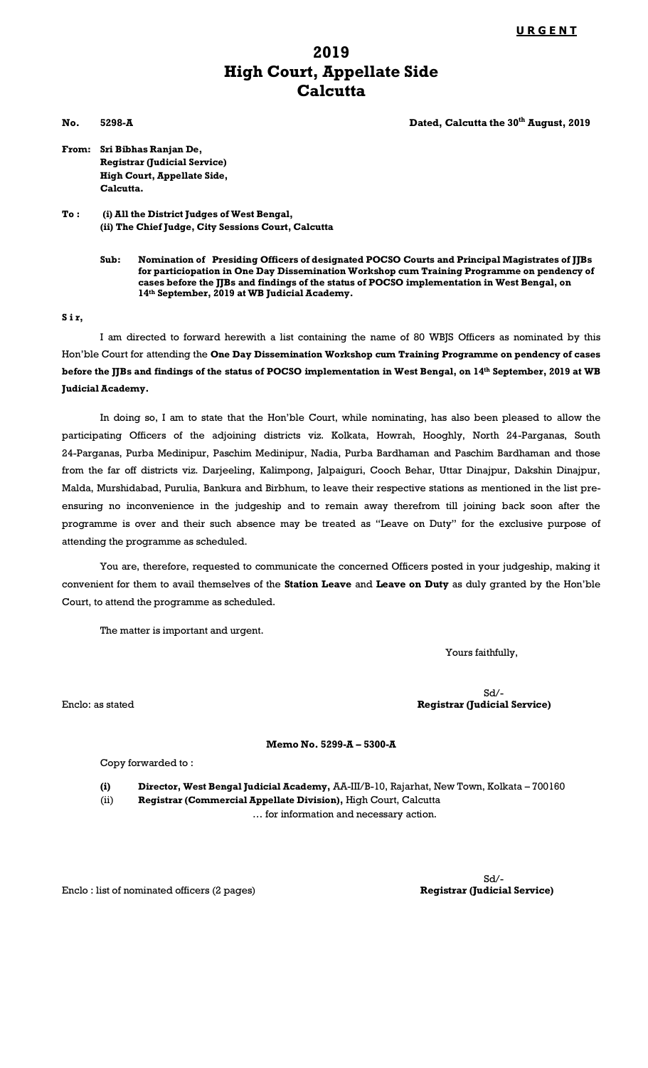## **2019 High Court, Appellate Side Calcutta**

**No. 5298-A Dated, Calcutta the 30th August, 2019**

**From: Sri Bibhas Ranjan De, Registrar (Judicial Service) High Court, Appellate Side, Calcutta.**

**To : (i) All the District Judges of West Bengal, (ii) The Chief Judge, City Sessions Court, Calcutta**

## **S i r,**

I am directed to forward herewith a list containing the name of 80 WBJS Officers as nominated by this Hon'ble Court for attending the **One Day Dissemination Workshop cum Training Programme on pendency of cases before the JJBs and findings of the status of POCSO implementation in West Bengal, on 14th September, 2019 at WB Judicial Academy.**

In doing so, I am to state that the Hon'ble Court, while nominating, has also been pleased to allow the participating Officers of the adjoining districts viz. Kolkata, Howrah, Hooghly, North 24-Parganas, South 24-Parganas, Purba Medinipur, Paschim Medinipur, Nadia, Purba Bardhaman and Paschim Bardhaman and those from the far off districts viz. Darjeeling, Kalimpong, Jalpaiguri, Cooch Behar, Uttar Dinajpur, Dakshin Dinajpur, Malda, Murshidabad, Purulia, Bankura and Birbhum, to leave their respective stations as mentioned in the list preensuring no inconvenience in the judgeship and to remain away therefrom till joining back soon after the programme is over and their such absence may be treated as "Leave on Duty" for the exclusive purpose of attending the programme as scheduled.

You are, therefore, requested to communicate the concerned Officers posted in your judgeship, making it convenient for them to avail themselves of the **Station Leave** and **Leave on Duty** as duly granted by the Hon'ble Court, to attend the programme as scheduled.

The matter is important and urgent.

Yours faithfully,

Sd/- Enclo: as stated **Registrar (Judicial Service)**

**Memo No. 5299-A – 5300-A** 

Copy forwarded to :

**(i) Director, West Bengal Judicial Academy,** AA-III/B-10, Rajarhat, New Town, Kolkata – 700160 (ii) **Registrar (Commercial Appellate Division),** High Court, Calcutta … for information and necessary action.

Enclo : list of nominated officers (2 pages)

Sd/-<br>Registrar (Judicial Service)

**Sub: Nomination of Presiding Officers of designated POCSO Courts and Principal Magistrates of JJBs for particiopation in One Day Dissemination Workshop cum Training Programme on pendency of cases before the JJBs and findings of the status of POCSO implementation in West Bengal, on 14th September, 2019 at WB Judicial Academy.**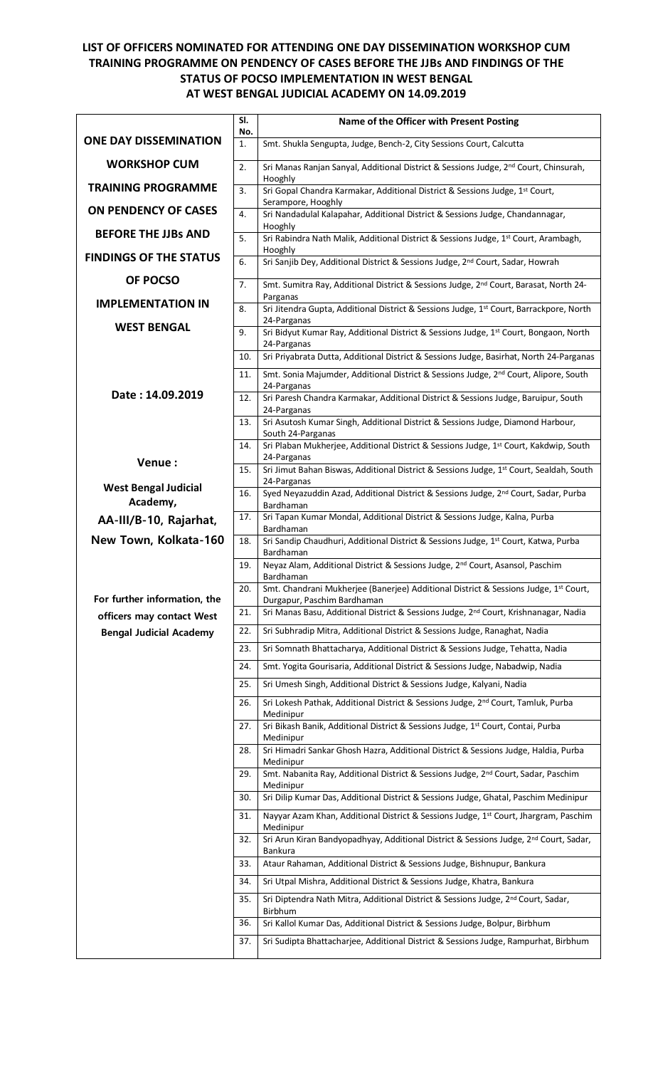## **LIST OF OFFICERS NOMINATED FOR ATTENDING ONE DAY DISSEMINATION WORKSHOP CUM TRAINING PROGRAMME ON PENDENCY OF CASES BEFORE THE JJBs AND FINDINGS OF THE STATUS OF POCSO IMPLEMENTATION IN WEST BENGAL AT WEST BENGAL JUDICIAL ACADEMY ON 14.09.2019**

|                                                             | SI.<br>No. | Name of the Officer with Present Posting                                                                                        |
|-------------------------------------------------------------|------------|---------------------------------------------------------------------------------------------------------------------------------|
| <b>ONE DAY DISSEMINATION</b>                                | 1.         | Smt. Shukla Sengupta, Judge, Bench-2, City Sessions Court, Calcutta                                                             |
| <b>WORKSHOP CUM</b>                                         | 2.         | Sri Manas Ranjan Sanyal, Additional District & Sessions Judge, 2 <sup>nd</sup> Court, Chinsurah,                                |
| <b>TRAINING PROGRAMME</b>                                   | 3.         | Hooghly<br>Sri Gopal Chandra Karmakar, Additional District & Sessions Judge, 1st Court,                                         |
| <b>ON PENDENCY OF CASES</b>                                 | 4.         | Serampore, Hooghly<br>Sri Nandadulal Kalapahar, Additional District & Sessions Judge, Chandannagar,                             |
| <b>BEFORE THE JJBs AND</b>                                  | 5.         | Hooghly<br>Sri Rabindra Nath Malik, Additional District & Sessions Judge, 1st Court, Arambagh,                                  |
| <b>FINDINGS OF THE STATUS</b>                               | 6.         | Hooghly<br>Sri Sanjib Dey, Additional District & Sessions Judge, 2 <sup>nd</sup> Court, Sadar, Howrah                           |
| OF POCSO                                                    | 7.         | Smt. Sumitra Ray, Additional District & Sessions Judge, 2nd Court, Barasat, North 24-                                           |
| <b>IMPLEMENTATION IN</b>                                    | 8.         | Parganas<br>Sri Jitendra Gupta, Additional District & Sessions Judge, 1st Court, Barrackpore, North                             |
| <b>WEST BENGAL</b>                                          |            | 24-Parganas                                                                                                                     |
|                                                             | 9.         | Sri Bidyut Kumar Ray, Additional District & Sessions Judge, 1st Court, Bongaon, North<br>24-Parganas                            |
|                                                             | 10.        | Sri Priyabrata Dutta, Additional District & Sessions Judge, Basirhat, North 24-Parganas                                         |
|                                                             | 11.        | Smt. Sonia Majumder, Additional District & Sessions Judge, 2 <sup>nd</sup> Court, Alipore, South<br>24-Parganas                 |
| Date: 14.09.2019                                            | 12.        | Sri Paresh Chandra Karmakar, Additional District & Sessions Judge, Baruipur, South<br>24-Parganas                               |
|                                                             | 13.        | Sri Asutosh Kumar Singh, Additional District & Sessions Judge, Diamond Harbour,                                                 |
|                                                             | 14.        | South 24-Parganas<br>Sri Plaban Mukherjee, Additional District & Sessions Judge, 1st Court, Kakdwip, South                      |
| Venue:                                                      | 15.        | 24-Parganas<br>Sri Jimut Bahan Biswas, Additional District & Sessions Judge, 1st Court, Sealdah, South                          |
| <b>West Bengal Judicial</b>                                 | 16.        | 24-Parganas<br>Syed Neyazuddin Azad, Additional District & Sessions Judge, 2 <sup>nd</sup> Court, Sadar, Purba                  |
| Academy,                                                    |            | Bardhaman                                                                                                                       |
| AA-III/B-10, Rajarhat,                                      | 17.        | Sri Tapan Kumar Mondal, Additional District & Sessions Judge, Kalna, Purba<br>Bardhaman                                         |
| New Town, Kolkata-160                                       | 18.        | Sri Sandip Chaudhuri, Additional District & Sessions Judge, 1st Court, Katwa, Purba<br>Bardhaman                                |
|                                                             | 19.        | Neyaz Alam, Additional District & Sessions Judge, 2 <sup>nd</sup> Court, Asansol, Paschim<br>Bardhaman                          |
|                                                             | 20.        | Smt. Chandrani Mukherjee (Banerjee) Additional District & Sessions Judge, 1st Court,                                            |
| For further information, the                                | 21.        | Durgapur, Paschim Bardhaman<br>Sri Manas Basu, Additional District & Sessions Judge, 2 <sup>nd</sup> Court, Krishnanagar, Nadia |
| officers may contact West<br><b>Bengal Judicial Academy</b> | 22.        | Sri Subhradip Mitra, Additional District & Sessions Judge, Ranaghat, Nadia                                                      |
|                                                             | 23.        | Sri Somnath Bhattacharya, Additional District & Sessions Judge, Tehatta, Nadia                                                  |
|                                                             | 24.        | Smt. Yogita Gourisaria, Additional District & Sessions Judge, Nabadwip, Nadia                                                   |
|                                                             | 25.        | Sri Umesh Singh, Additional District & Sessions Judge, Kalyani, Nadia                                                           |
|                                                             | 26.        | Sri Lokesh Pathak, Additional District & Sessions Judge, 2 <sup>nd</sup> Court, Tamluk, Purba                                   |
|                                                             | 27.        | Medinipur<br>Sri Bikash Banik, Additional District & Sessions Judge, 1st Court, Contai, Purba                                   |
|                                                             | 28.        | Medinipur<br>Sri Himadri Sankar Ghosh Hazra, Additional District & Sessions Judge, Haldia, Purba                                |
|                                                             | 29.        | Medinipur<br>Smt. Nabanita Ray, Additional District & Sessions Judge, 2 <sup>nd</sup> Court, Sadar, Paschim                     |
|                                                             | 30.        | Medinipur<br>Sri Dilip Kumar Das, Additional District & Sessions Judge, Ghatal, Paschim Medinipur                               |
|                                                             | 31.        | Nayyar Azam Khan, Additional District & Sessions Judge, 1st Court, Jhargram, Paschim                                            |
|                                                             | 32.        | Medinipur<br>Sri Arun Kiran Bandyopadhyay, Additional District & Sessions Judge, 2 <sup>nd</sup> Court, Sadar,<br>Bankura       |
|                                                             | 33.        | Ataur Rahaman, Additional District & Sessions Judge, Bishnupur, Bankura                                                         |
|                                                             | 34.        | Sri Utpal Mishra, Additional District & Sessions Judge, Khatra, Bankura                                                         |
|                                                             | 35.        | Sri Diptendra Nath Mitra, Additional District & Sessions Judge, 2 <sup>nd</sup> Court, Sadar,<br>Birbhum                        |
|                                                             | 36.        | Sri Kallol Kumar Das, Additional District & Sessions Judge, Bolpur, Birbhum                                                     |
|                                                             | 37.        | Sri Sudipta Bhattacharjee, Additional District & Sessions Judge, Rampurhat, Birbhum                                             |